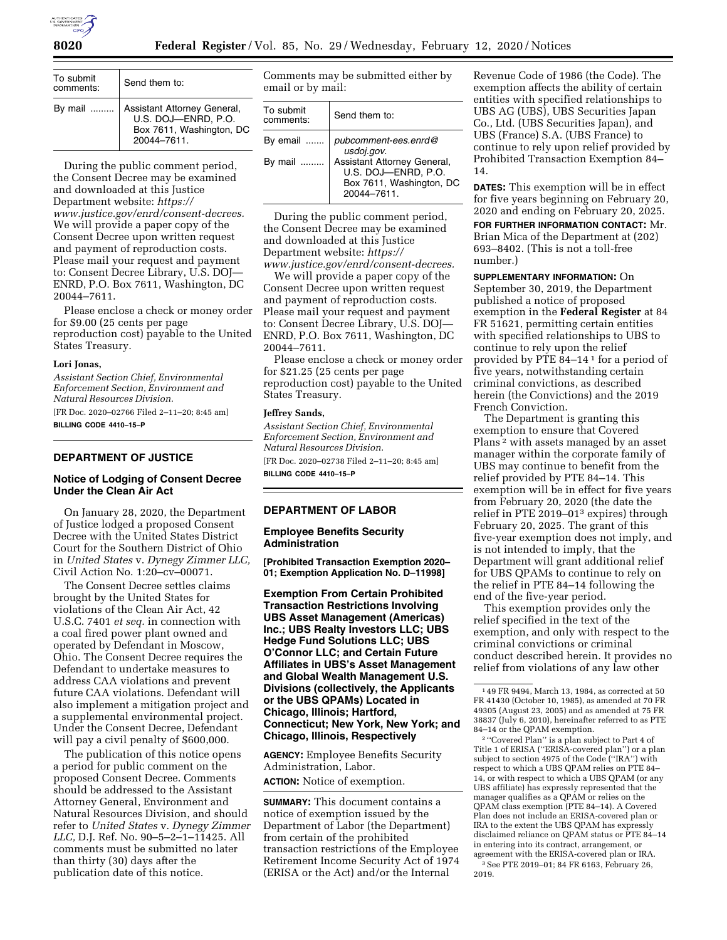

| To submit<br>comments: | Send them to:                                                                                 |
|------------------------|-----------------------------------------------------------------------------------------------|
| By mail $\ldots$       | Assistant Attorney General,<br>U.S. DOJ-ENRD. P.O.<br>Box 7611, Washington, DC<br>20044-7611. |

During the public comment period, the Consent Decree may be examined and downloaded at this Justice Department website: *[https://](https://www.justice.gov/enrd/consent-decrees) [www.justice.gov/enrd/consent-decrees.](https://www.justice.gov/enrd/consent-decrees)*  We will provide a paper copy of the Consent Decree upon written request and payment of reproduction costs. Please mail your request and payment to: Consent Decree Library, U.S. DOJ— ENRD, P.O. Box 7611, Washington, DC 20044–7611.

Please enclose a check or money order for \$9.00 (25 cents per page reproduction cost) payable to the United States Treasury.

#### **Lori Jonas,**

*Assistant Section Chief, Environmental Enforcement Section, Environment and Natural Resources Division.* 

[FR Doc. 2020–02766 Filed 2–11–20; 8:45 am] **BILLING CODE 4410–15–P** 

## **DEPARTMENT OF JUSTICE**

# **Notice of Lodging of Consent Decree Under the Clean Air Act**

On January 28, 2020, the Department of Justice lodged a proposed Consent Decree with the United States District Court for the Southern District of Ohio in *United States* v. *Dynegy Zimmer LLC,*  Civil Action No. 1:20–cv–00071.

The Consent Decree settles claims brought by the United States for violations of the Clean Air Act, 42 U.S.C. 7401 *et seq.* in connection with a coal fired power plant owned and operated by Defendant in Moscow, Ohio. The Consent Decree requires the Defendant to undertake measures to address CAA violations and prevent future CAA violations. Defendant will also implement a mitigation project and a supplemental environmental project. Under the Consent Decree, Defendant will pay a civil penalty of \$600,000.

The publication of this notice opens a period for public comment on the proposed Consent Decree. Comments should be addressed to the Assistant Attorney General, Environment and Natural Resources Division, and should refer to *United States* v. *Dynegy Zimmer LLC,* D.J. Ref. No. 90–5–2–1–11425. All comments must be submitted no later than thirty (30) days after the publication date of this notice.

Comments may be submitted either by email or by mail:

| To submit<br>comments: | Send them to:                                                                                                        |
|------------------------|----------------------------------------------------------------------------------------------------------------------|
| By email<br>By mail    | pubcomment-ees.enrd@<br>usdoj.gov.<br>Assistant Attorney General,<br>U.S. DOJ-ENRD, P.O.<br>Box 7611, Washington, DC |
|                        | 20044-7611                                                                                                           |

During the public comment period, the Consent Decree may be examined and downloaded at this Justice Department website: *[https://](https://www.justice.gov/enrd/consent-decrees) [www.justice.gov/enrd/consent-decrees.](https://www.justice.gov/enrd/consent-decrees)* 

We will provide a paper copy of the Consent Decree upon written request and payment of reproduction costs. Please mail your request and payment to: Consent Decree Library, U.S. DOJ-ENRD, P.O. Box 7611, Washington, DC 20044–7611.

Please enclose a check or money order for \$21.25 (25 cents per page reproduction cost) payable to the United States Treasury.

#### **Jeffrey Sands,**

*Assistant Section Chief, Environmental Enforcement Section, Environment and Natural Resources Division.* 

[FR Doc. 2020–02738 Filed 2–11–20; 8:45 am] **BILLING CODE 4410–15–P** 

## **DEPARTMENT OF LABOR**

#### **Employee Benefits Security Administration**

**[Prohibited Transaction Exemption 2020– 01; Exemption Application No. D–11998]** 

**Exemption From Certain Prohibited Transaction Restrictions Involving UBS Asset Management (Americas) Inc.; UBS Realty Investors LLC; UBS Hedge Fund Solutions LLC; UBS O'Connor LLC; and Certain Future Affiliates in UBS's Asset Management and Global Wealth Management U.S. Divisions (collectively, the Applicants or the UBS QPAMs) Located in Chicago, Illinois; Hartford, Connecticut; New York, New York; and Chicago, Illinois, Respectively** 

**AGENCY:** Employee Benefits Security Administration, Labor.

**ACTION:** Notice of exemption.

**SUMMARY:** This document contains a notice of exemption issued by the Department of Labor (the Department) from certain of the prohibited transaction restrictions of the Employee Retirement Income Security Act of 1974 (ERISA or the Act) and/or the Internal

Revenue Code of 1986 (the Code). The exemption affects the ability of certain entities with specified relationships to UBS AG (UBS), UBS Securities Japan Co., Ltd. (UBS Securities Japan), and UBS (France) S.A. (UBS France) to continue to rely upon relief provided by Prohibited Transaction Exemption 84– 14.

**DATES:** This exemption will be in effect for five years beginning on February 20, 2020 and ending on February 20, 2025.

**FOR FURTHER INFORMATION CONTACT:** Mr. Brian Mica of the Department at (202) 693–8402. (This is not a toll-free number.)

**SUPPLEMENTARY INFORMATION:** On September 30, 2019, the Department published a notice of proposed exemption in the **Federal Register** at 84 FR 51621, permitting certain entities with specified relationships to UBS to continue to rely upon the relief provided by PTE 84–14 1 for a period of five years, notwithstanding certain criminal convictions, as described herein (the Convictions) and the 2019 French Conviction.

The Department is granting this exemption to ensure that Covered Plans 2 with assets managed by an asset manager within the corporate family of UBS may continue to benefit from the relief provided by PTE 84–14. This exemption will be in effect for five years from February 20, 2020 (the date the relief in PTE 2019–013 expires) through February 20, 2025. The grant of this five-year exemption does not imply, and is not intended to imply, that the Department will grant additional relief for UBS QPAMs to continue to rely on the relief in PTE 84–14 following the end of the five-year period.

This exemption provides only the relief specified in the text of the exemption, and only with respect to the criminal convictions or criminal conduct described herein. It provides no relief from violations of any law other

2 ''Covered Plan'' is a plan subject to Part 4 of Title 1 of ERISA (''ERISA-covered plan'') or a plan subject to section 4975 of the Code (''IRA'') with respect to which a UBS QPAM relies on PTE 84– 14, or with respect to which a UBS QPAM (or any UBS affiliate) has expressly represented that the manager qualifies as a QPAM or relies on the QPAM class exemption (PTE 84–14). A Covered Plan does not include an ERISA-covered plan or IRA to the extent the UBS QPAM has expressly disclaimed reliance on QPAM status or PTE 84–14 in entering into its contract, arrangement, or agreement with the ERISA-covered plan or IRA. 3See PTE 2019–01; 84 FR 6163, February 26, 2019.

<sup>1</sup> 49 FR 9494, March 13, 1984, as corrected at 50 FR 41430 (October 10, 1985), as amended at 70 FR 49305 (August 23, 2005) and as amended at 75 FR 38837 (July 6, 2010), hereinafter referred to as PTE 84–14 or the QPAM exemption.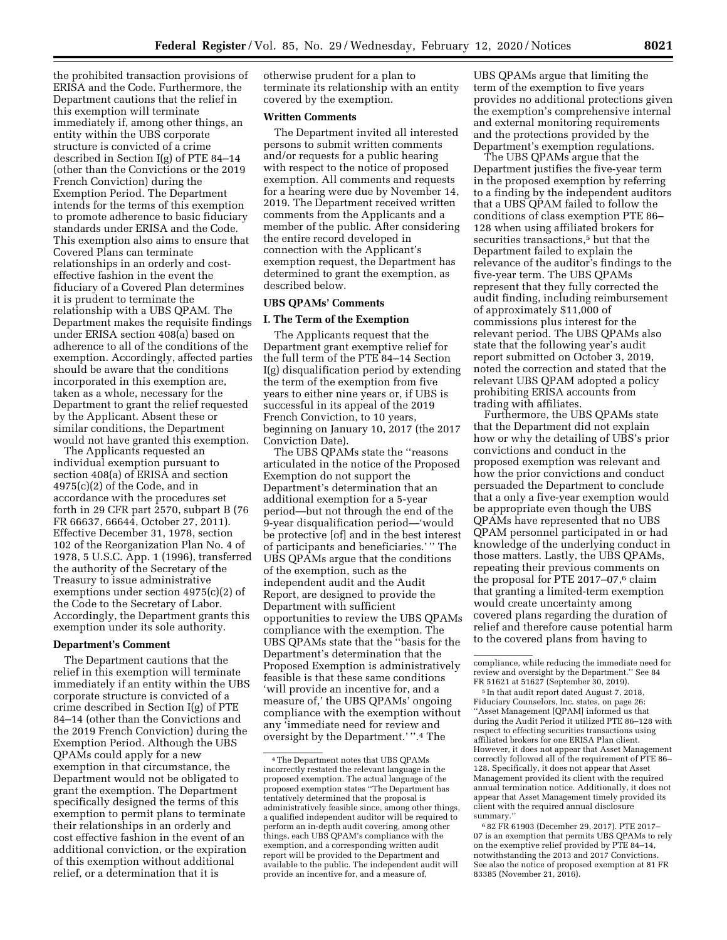the prohibited transaction provisions of ERISA and the Code. Furthermore, the Department cautions that the relief in this exemption will terminate immediately if, among other things, an entity within the UBS corporate structure is convicted of a crime described in Section I(g) of PTE 84–14 (other than the Convictions or the 2019 French Conviction) during the Exemption Period. The Department intends for the terms of this exemption to promote adherence to basic fiduciary standards under ERISA and the Code. This exemption also aims to ensure that Covered Plans can terminate relationships in an orderly and costeffective fashion in the event the fiduciary of a Covered Plan determines it is prudent to terminate the relationship with a UBS QPAM. The Department makes the requisite findings under ERISA section 408(a) based on adherence to all of the conditions of the exemption. Accordingly, affected parties should be aware that the conditions incorporated in this exemption are, taken as a whole, necessary for the Department to grant the relief requested by the Applicant. Absent these or similar conditions, the Department would not have granted this exemption.

The Applicants requested an individual exemption pursuant to section 408(a) of ERISA and section 4975(c)(2) of the Code, and in accordance with the procedures set forth in 29 CFR part 2570, subpart B (76 FR 66637, 66644, October 27, 2011). Effective December 31, 1978, section 102 of the Reorganization Plan No. 4 of 1978, 5 U.S.C. App. 1 (1996), transferred the authority of the Secretary of the Treasury to issue administrative exemptions under section 4975(c)(2) of the Code to the Secretary of Labor. Accordingly, the Department grants this exemption under its sole authority.

# **Department's Comment**

The Department cautions that the relief in this exemption will terminate immediately if an entity within the UBS corporate structure is convicted of a crime described in Section I(g) of PTE 84–14 (other than the Convictions and the 2019 French Conviction) during the Exemption Period. Although the UBS QPAMs could apply for a new exemption in that circumstance, the Department would not be obligated to grant the exemption. The Department specifically designed the terms of this exemption to permit plans to terminate their relationships in an orderly and cost effective fashion in the event of an additional conviction, or the expiration of this exemption without additional relief, or a determination that it is

otherwise prudent for a plan to terminate its relationship with an entity covered by the exemption.

#### **Written Comments**

The Department invited all interested persons to submit written comments and/or requests for a public hearing with respect to the notice of proposed exemption. All comments and requests for a hearing were due by November 14, 2019. The Department received written comments from the Applicants and a member of the public. After considering the entire record developed in connection with the Applicant's exemption request, the Department has determined to grant the exemption, as described below.

#### **UBS QPAMs' Comments**

### **I. The Term of the Exemption**

The Applicants request that the Department grant exemptive relief for the full term of the PTE 84–14 Section I(g) disqualification period by extending the term of the exemption from five years to either nine years or, if UBS is successful in its appeal of the 2019 French Conviction, to 10 years, beginning on January 10, 2017 (the 2017 Conviction Date).

The UBS QPAMs state the ''reasons articulated in the notice of the Proposed Exemption do not support the Department's determination that an additional exemption for a 5-year period—but not through the end of the 9-year disqualification period—'would be protective [of] and in the best interest of participants and beneficiaries.' '' The UBS QPAMs argue that the conditions of the exemption, such as the independent audit and the Audit Report, are designed to provide the Department with sufficient opportunities to review the UBS QPAMs compliance with the exemption. The UBS QPAMs state that the ''basis for the Department's determination that the Proposed Exemption is administratively feasible is that these same conditions 'will provide an incentive for, and a measure of,' the UBS QPAMs' ongoing compliance with the exemption without any 'immediate need for review and oversight by the Department.' ''.4 The

UBS QPAMs argue that limiting the term of the exemption to five years provides no additional protections given the exemption's comprehensive internal and external monitoring requirements and the protections provided by the Department's exemption regulations.

The UBS QPAMs argue that the Department justifies the five-year term in the proposed exemption by referring to a finding by the independent auditors that a UBS QPAM failed to follow the conditions of class exemption PTE 86– 128 when using affiliated brokers for securities transactions,5 but that the Department failed to explain the relevance of the auditor's findings to the five-year term. The UBS QPAMs represent that they fully corrected the audit finding, including reimbursement of approximately \$11,000 of commissions plus interest for the relevant period. The UBS QPAMs also state that the following year's audit report submitted on October 3, 2019, noted the correction and stated that the relevant UBS QPAM adopted a policy prohibiting ERISA accounts from trading with affiliates.

Furthermore, the UBS QPAMs state that the Department did not explain how or why the detailing of UBS's prior convictions and conduct in the proposed exemption was relevant and how the prior convictions and conduct persuaded the Department to conclude that a only a five-year exemption would be appropriate even though the UBS QPAMs have represented that no UBS QPAM personnel participated in or had knowledge of the underlying conduct in those matters. Lastly, the UBS QPAMs, repeating their previous comments on the proposal for PTE  $2017-07$ ,<sup>6</sup> claim that granting a limited-term exemption would create uncertainty among covered plans regarding the duration of relief and therefore cause potential harm to the covered plans from having to

6 82 FR 61903 (December 29, 2017). PTE 2017– 07 is an exemption that permits UBS QPAMs to rely on the exemptive relief provided by PTE 84–14, notwithstanding the 2013 and 2017 Convictions. See also the notice of proposed exemption at 81 FR 83385 (November 21, 2016).

<sup>4</sup>The Department notes that UBS QPAMs incorrectly restated the relevant language in the proposed exemption. The actual language of the proposed exemption states ''The Department has tentatively determined that the proposal is administratively feasible since, among other things, a qualified independent auditor will be required to perform an in-depth audit covering, among other things, each UBS QPAM's compliance with the exemption, and a corresponding written audit report will be provided to the Department and available to the public. The independent audit will provide an incentive for, and a measure of,

compliance, while reducing the immediate need for review and oversight by the Department.'' See 84 FR 51621 at 51627 (September 30, 2019).

<sup>5</sup> In that audit report dated August 7, 2018, Fiduciary Counselors, Inc. states, on page 26: ''Asset Management [QPAM] informed us that during the Audit Period it utilized PTE 86–128 with respect to effecting securities transactions using affiliated brokers for one ERISA Plan client. However, it does not appear that Asset Management correctly followed all of the requirement of PTE 86– 128. Specifically, it does not appear that Asset Management provided its client with the required annual termination notice. Additionally, it does not appear that Asset Management timely provided its client with the required annual disclosure summary.''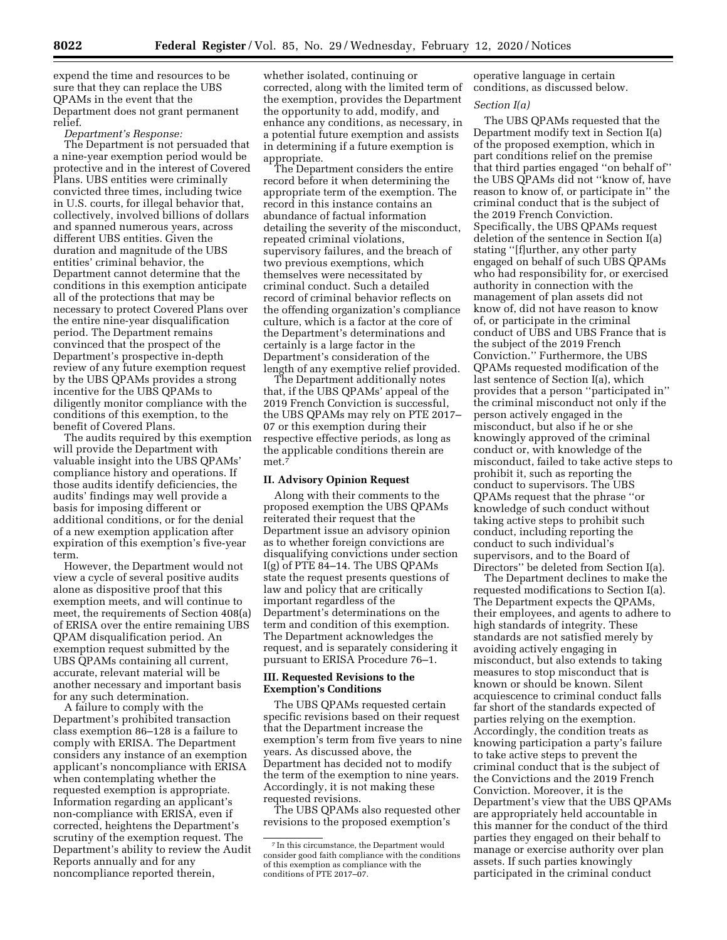expend the time and resources to be sure that they can replace the UBS QPAMs in the event that the Department does not grant permanent relief.

#### *Department's Response:*

The Department is not persuaded that a nine-year exemption period would be protective and in the interest of Covered Plans. UBS entities were criminally convicted three times, including twice in U.S. courts, for illegal behavior that, collectively, involved billions of dollars and spanned numerous years, across different UBS entities. Given the duration and magnitude of the UBS entities' criminal behavior, the Department cannot determine that the conditions in this exemption anticipate all of the protections that may be necessary to protect Covered Plans over the entire nine-year disqualification period. The Department remains convinced that the prospect of the Department's prospective in-depth review of any future exemption request by the UBS QPAMs provides a strong incentive for the UBS QPAMs to diligently monitor compliance with the conditions of this exemption, to the benefit of Covered Plans.

The audits required by this exemption will provide the Department with valuable insight into the UBS QPAMs' compliance history and operations. If those audits identify deficiencies, the audits' findings may well provide a basis for imposing different or additional conditions, or for the denial of a new exemption application after expiration of this exemption's five-year term.

However, the Department would not view a cycle of several positive audits alone as dispositive proof that this exemption meets, and will continue to meet, the requirements of Section 408(a) of ERISA over the entire remaining UBS QPAM disqualification period. An exemption request submitted by the UBS QPAMs containing all current, accurate, relevant material will be another necessary and important basis for any such determination.

A failure to comply with the Department's prohibited transaction class exemption 86–128 is a failure to comply with ERISA. The Department considers any instance of an exemption applicant's noncompliance with ERISA when contemplating whether the requested exemption is appropriate. Information regarding an applicant's non-compliance with ERISA, even if corrected, heightens the Department's scrutiny of the exemption request. The Department's ability to review the Audit Reports annually and for any noncompliance reported therein,

whether isolated, continuing or corrected, along with the limited term of the exemption, provides the Department the opportunity to add, modify, and enhance any conditions, as necessary, in a potential future exemption and assists in determining if a future exemption is appropriate.

The Department considers the entire record before it when determining the appropriate term of the exemption. The record in this instance contains an abundance of factual information detailing the severity of the misconduct, repeated criminal violations, supervisory failures, and the breach of two previous exemptions, which themselves were necessitated by criminal conduct. Such a detailed record of criminal behavior reflects on the offending organization's compliance culture, which is a factor at the core of the Department's determinations and certainly is a large factor in the Department's consideration of the length of any exemptive relief provided.

The Department additionally notes that, if the UBS QPAMs' appeal of the 2019 French Conviction is successful, the UBS QPAMs may rely on PTE 2017– 07 or this exemption during their respective effective periods, as long as the applicable conditions therein are met.7

# **II. Advisory Opinion Request**

Along with their comments to the proposed exemption the UBS QPAMs reiterated their request that the Department issue an advisory opinion as to whether foreign convictions are disqualifying convictions under section I(g) of PTE 84–14. The UBS QPAMs state the request presents questions of law and policy that are critically important regardless of the Department's determinations on the term and condition of this exemption. The Department acknowledges the request, and is separately considering it pursuant to ERISA Procedure 76–1.

## **III. Requested Revisions to the Exemption's Conditions**

The UBS QPAMs requested certain specific revisions based on their request that the Department increase the exemption's term from five years to nine years. As discussed above, the Department has decided not to modify the term of the exemption to nine years. Accordingly, it is not making these requested revisions.

The UBS QPAMs also requested other revisions to the proposed exemption's

operative language in certain conditions, as discussed below.

## *Section I(a)*

The UBS QPAMs requested that the Department modify text in Section I(a) of the proposed exemption, which in part conditions relief on the premise that third parties engaged ''on behalf of'' the UBS QPAMs did not ''know of, have reason to know of, or participate in'' the criminal conduct that is the subject of the 2019 French Conviction. Specifically, the UBS QPAMs request deletion of the sentence in Section I(a) stating ''[f]urther, any other party engaged on behalf of such UBS QPAMs who had responsibility for, or exercised authority in connection with the management of plan assets did not know of, did not have reason to know of, or participate in the criminal conduct of UBS and UBS France that is the subject of the 2019 French Conviction.'' Furthermore, the UBS QPAMs requested modification of the last sentence of Section I(a), which provides that a person ''participated in'' the criminal misconduct not only if the person actively engaged in the misconduct, but also if he or she knowingly approved of the criminal conduct or, with knowledge of the misconduct, failed to take active steps to prohibit it, such as reporting the conduct to supervisors. The UBS QPAMs request that the phrase ''or knowledge of such conduct without taking active steps to prohibit such conduct, including reporting the conduct to such individual's supervisors, and to the Board of Directors'' be deleted from Section I(a).

The Department declines to make the requested modifications to Section I(a). The Department expects the QPAMs, their employees, and agents to adhere to high standards of integrity. These standards are not satisfied merely by avoiding actively engaging in misconduct, but also extends to taking measures to stop misconduct that is known or should be known. Silent acquiescence to criminal conduct falls far short of the standards expected of parties relying on the exemption. Accordingly, the condition treats as knowing participation a party's failure to take active steps to prevent the criminal conduct that is the subject of the Convictions and the 2019 French Conviction. Moreover, it is the Department's view that the UBS QPAMs are appropriately held accountable in this manner for the conduct of the third parties they engaged on their behalf to manage or exercise authority over plan assets. If such parties knowingly participated in the criminal conduct

<sup>7</sup> In this circumstance, the Department would consider good faith compliance with the conditions of this exemption as compliance with the conditions of PTE 2017–07.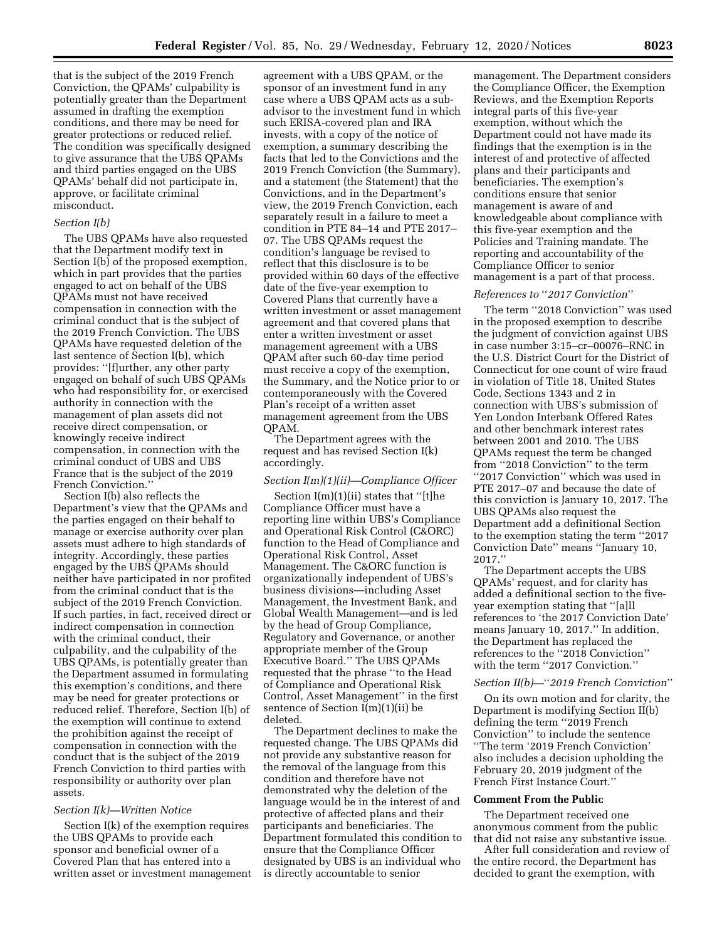that is the subject of the 2019 French Conviction, the QPAMs' culpability is potentially greater than the Department assumed in drafting the exemption conditions, and there may be need for greater protections or reduced relief. The condition was specifically designed to give assurance that the UBS QPAMs and third parties engaged on the UBS QPAMs' behalf did not participate in, approve, or facilitate criminal misconduct.

## *Section I(b)*

The UBS QPAMs have also requested that the Department modify text in Section I(b) of the proposed exemption, which in part provides that the parties engaged to act on behalf of the UBS QPAMs must not have received compensation in connection with the criminal conduct that is the subject of the 2019 French Conviction. The UBS QPAMs have requested deletion of the last sentence of Section I(b), which provides: ''[f]urther, any other party engaged on behalf of such UBS QPAMs who had responsibility for, or exercised authority in connection with the management of plan assets did not receive direct compensation, or knowingly receive indirect compensation, in connection with the criminal conduct of UBS and UBS France that is the subject of the 2019 French Conviction.''

Section I(b) also reflects the Department's view that the QPAMs and the parties engaged on their behalf to manage or exercise authority over plan assets must adhere to high standards of integrity. Accordingly, these parties engaged by the UBS QPAMs should neither have participated in nor profited from the criminal conduct that is the subject of the 2019 French Conviction. If such parties, in fact, received direct or indirect compensation in connection with the criminal conduct, their culpability, and the culpability of the UBS QPAMs, is potentially greater than the Department assumed in formulating this exemption's conditions, and there may be need for greater protections or reduced relief. Therefore, Section I(b) of the exemption will continue to extend the prohibition against the receipt of compensation in connection with the conduct that is the subject of the 2019 French Conviction to third parties with responsibility or authority over plan assets.

## *Section I(k)—Written Notice*

Section I(k) of the exemption requires the UBS QPAMs to provide each sponsor and beneficial owner of a Covered Plan that has entered into a written asset or investment management

agreement with a UBS QPAM, or the sponsor of an investment fund in any case where a UBS QPAM acts as a subadvisor to the investment fund in which such ERISA-covered plan and IRA invests, with a copy of the notice of exemption, a summary describing the facts that led to the Convictions and the 2019 French Conviction (the Summary), and a statement (the Statement) that the Convictions, and in the Department's view, the 2019 French Conviction, each separately result in a failure to meet a condition in PTE 84–14 and PTE 2017– 07. The UBS QPAMs request the condition's language be revised to reflect that this disclosure is to be provided within 60 days of the effective date of the five-year exemption to Covered Plans that currently have a written investment or asset management agreement and that covered plans that enter a written investment or asset management agreement with a UBS QPAM after such 60-day time period must receive a copy of the exemption, the Summary, and the Notice prior to or contemporaneously with the Covered Plan's receipt of a written asset management agreement from the UBS QPAM.

The Department agrees with the request and has revised Section I(k) accordingly.

## *Section I(m)(1)(ii)—Compliance Officer*

Section I(m)(1)(ii) states that ''[t]he Compliance Officer must have a reporting line within UBS's Compliance and Operational Risk Control (C&ORC) function to the Head of Compliance and Operational Risk Control, Asset Management. The C&ORC function is organizationally independent of UBS's business divisions—including Asset Management, the Investment Bank, and Global Wealth Management—and is led by the head of Group Compliance, Regulatory and Governance, or another appropriate member of the Group Executive Board.'' The UBS QPAMs requested that the phrase ''to the Head of Compliance and Operational Risk Control, Asset Management'' in the first sentence of Section I(m)(1)(ii) be deleted.

The Department declines to make the requested change. The UBS QPAMs did not provide any substantive reason for the removal of the language from this condition and therefore have not demonstrated why the deletion of the language would be in the interest of and protective of affected plans and their participants and beneficiaries. The Department formulated this condition to ensure that the Compliance Officer designated by UBS is an individual who is directly accountable to senior

management. The Department considers the Compliance Officer, the Exemption Reviews, and the Exemption Reports integral parts of this five-year exemption, without which the Department could not have made its findings that the exemption is in the interest of and protective of affected plans and their participants and beneficiaries. The exemption's conditions ensure that senior management is aware of and knowledgeable about compliance with this five-year exemption and the Policies and Training mandate. The reporting and accountability of the Compliance Officer to senior management is a part of that process.

# *References to* ''*2017 Conviction*''

The term ''2018 Conviction'' was used in the proposed exemption to describe the judgment of conviction against UBS in case number 3:15–cr–00076–RNC in the U.S. District Court for the District of Connecticut for one count of wire fraud in violation of Title 18, United States Code, Sections 1343 and 2 in connection with UBS's submission of Yen London Interbank Offered Rates and other benchmark interest rates between 2001 and 2010. The UBS QPAMs request the term be changed from "2018 Conviction" to the term ''2017 Conviction'' which was used in PTE 2017–07 and because the date of this conviction is January 10, 2017. The UBS QPAMs also request the Department add a definitional Section to the exemption stating the term ''2017 Conviction Date'' means ''January 10, 2017.''

The Department accepts the UBS QPAMs' request, and for clarity has added a definitional section to the fiveyear exemption stating that ''[a]ll references to 'the 2017 Conviction Date' means January 10, 2017.'' In addition, the Department has replaced the references to the ''2018 Conviction'' with the term ''2017 Conviction.''

#### *Section II(b)—*''*2019 French Conviction*''

On its own motion and for clarity, the Department is modifying Section II(b) defining the term ''2019 French Conviction'' to include the sentence ''The term '2019 French Conviction' also includes a decision upholding the February 20, 2019 judgment of the French First Instance Court.''

#### **Comment From the Public**

The Department received one anonymous comment from the public that did not raise any substantive issue.

After full consideration and review of the entire record, the Department has decided to grant the exemption, with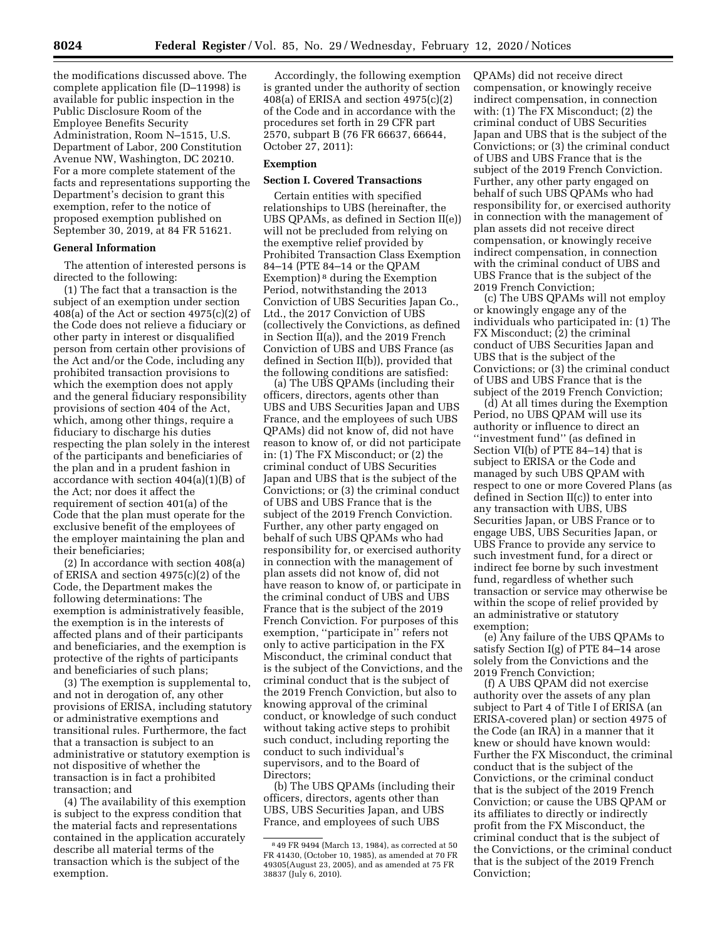the modifications discussed above. The complete application file (D–11998) is available for public inspection in the Public Disclosure Room of the Employee Benefits Security Administration, Room N–1515, U.S. Department of Labor, 200 Constitution Avenue NW, Washington, DC 20210. For a more complete statement of the facts and representations supporting the Department's decision to grant this exemption, refer to the notice of proposed exemption published on September 30, 2019, at 84 FR 51621.

# **General Information**

The attention of interested persons is directed to the following:

(1) The fact that a transaction is the subject of an exemption under section 408(a) of the Act or section  $4975(c)(2)$  of the Code does not relieve a fiduciary or other party in interest or disqualified person from certain other provisions of the Act and/or the Code, including any prohibited transaction provisions to which the exemption does not apply and the general fiduciary responsibility provisions of section 404 of the Act, which, among other things, require a fiduciary to discharge his duties respecting the plan solely in the interest of the participants and beneficiaries of the plan and in a prudent fashion in accordance with section 404(a)(1)(B) of the Act; nor does it affect the requirement of section 401(a) of the Code that the plan must operate for the exclusive benefit of the employees of the employer maintaining the plan and their beneficiaries;

(2) In accordance with section 408(a) of ERISA and section 4975(c)(2) of the Code, the Department makes the following determinations: The exemption is administratively feasible, the exemption is in the interests of affected plans and of their participants and beneficiaries, and the exemption is protective of the rights of participants and beneficiaries of such plans;

(3) The exemption is supplemental to, and not in derogation of, any other provisions of ERISA, including statutory or administrative exemptions and transitional rules. Furthermore, the fact that a transaction is subject to an administrative or statutory exemption is not dispositive of whether the transaction is in fact a prohibited transaction; and

(4) The availability of this exemption is subject to the express condition that the material facts and representations contained in the application accurately describe all material terms of the transaction which is the subject of the exemption.

Accordingly, the following exemption is granted under the authority of section 408(a) of ERISA and section 4975(c)(2) of the Code and in accordance with the procedures set forth in 29 CFR part 2570, subpart B (76 FR 66637, 66644, October 27, 2011):

# **Exemption**

# **Section I. Covered Transactions**

Certain entities with specified relationships to UBS (hereinafter, the UBS QPAMs, as defined in Section II(e)) will not be precluded from relying on the exemptive relief provided by Prohibited Transaction Class Exemption 84–14 (PTE 84–14 or the QPAM Exemption) 8 during the Exemption Period, notwithstanding the 2013 Conviction of UBS Securities Japan Co., Ltd., the 2017 Conviction of UBS (collectively the Convictions, as defined in Section II(a)), and the 2019 French Conviction of UBS and UBS France (as defined in Section II(b)), provided that the following conditions are satisfied:

(a) The UBS QPAMs (including their officers, directors, agents other than UBS and UBS Securities Japan and UBS France, and the employees of such UBS QPAMs) did not know of, did not have reason to know of, or did not participate in: (1) The FX Misconduct; or (2) the criminal conduct of UBS Securities Japan and UBS that is the subject of the Convictions; or (3) the criminal conduct of UBS and UBS France that is the subject of the 2019 French Conviction. Further, any other party engaged on behalf of such UBS QPAMs who had responsibility for, or exercised authority in connection with the management of plan assets did not know of, did not have reason to know of, or participate in the criminal conduct of UBS and UBS France that is the subject of the 2019 French Conviction. For purposes of this exemption, ''participate in'' refers not only to active participation in the FX Misconduct, the criminal conduct that is the subject of the Convictions, and the criminal conduct that is the subject of the 2019 French Conviction, but also to knowing approval of the criminal conduct, or knowledge of such conduct without taking active steps to prohibit such conduct, including reporting the conduct to such individual's supervisors, and to the Board of Directors;

(b) The UBS QPAMs (including their officers, directors, agents other than UBS, UBS Securities Japan, and UBS France, and employees of such UBS

QPAMs) did not receive direct compensation, or knowingly receive indirect compensation, in connection with: (1) The FX Misconduct; (2) the criminal conduct of UBS Securities Japan and UBS that is the subject of the Convictions; or (3) the criminal conduct of UBS and UBS France that is the subject of the 2019 French Conviction. Further, any other party engaged on behalf of such UBS QPAMs who had responsibility for, or exercised authority in connection with the management of plan assets did not receive direct compensation, or knowingly receive indirect compensation, in connection with the criminal conduct of UBS and UBS France that is the subject of the 2019 French Conviction;

(c) The UBS QPAMs will not employ or knowingly engage any of the individuals who participated in: (1) The FX Misconduct; (2) the criminal conduct of UBS Securities Japan and UBS that is the subject of the Convictions; or (3) the criminal conduct of UBS and UBS France that is the subject of the 2019 French Conviction;

(d) At all times during the Exemption Period, no UBS QPAM will use its authority or influence to direct an ''investment fund'' (as defined in Section VI(b) of PTE 84–14) that is subject to ERISA or the Code and managed by such UBS QPAM with respect to one or more Covered Plans (as defined in Section II(c)) to enter into any transaction with UBS, UBS Securities Japan, or UBS France or to engage UBS, UBS Securities Japan, or UBS France to provide any service to such investment fund, for a direct or indirect fee borne by such investment fund, regardless of whether such transaction or service may otherwise be within the scope of relief provided by an administrative or statutory exemption;

(e) Any failure of the UBS QPAMs to satisfy Section I(g) of PTE 84–14 arose solely from the Convictions and the 2019 French Conviction;

(f) A UBS QPAM did not exercise authority over the assets of any plan subject to Part 4 of Title I of ERISA (an ERISA-covered plan) or section 4975 of the Code (an IRA) in a manner that it knew or should have known would: Further the FX Misconduct, the criminal conduct that is the subject of the Convictions, or the criminal conduct that is the subject of the 2019 French Conviction; or cause the UBS QPAM or its affiliates to directly or indirectly profit from the FX Misconduct, the criminal conduct that is the subject of the Convictions, or the criminal conduct that is the subject of the 2019 French Conviction;

<sup>8</sup> 49 FR 9494 (March 13, 1984), as corrected at 50 FR 41430, (October 10, 1985), as amended at 70 FR 49305(August 23, 2005), and as amended at 75 FR 38837 (July 6, 2010).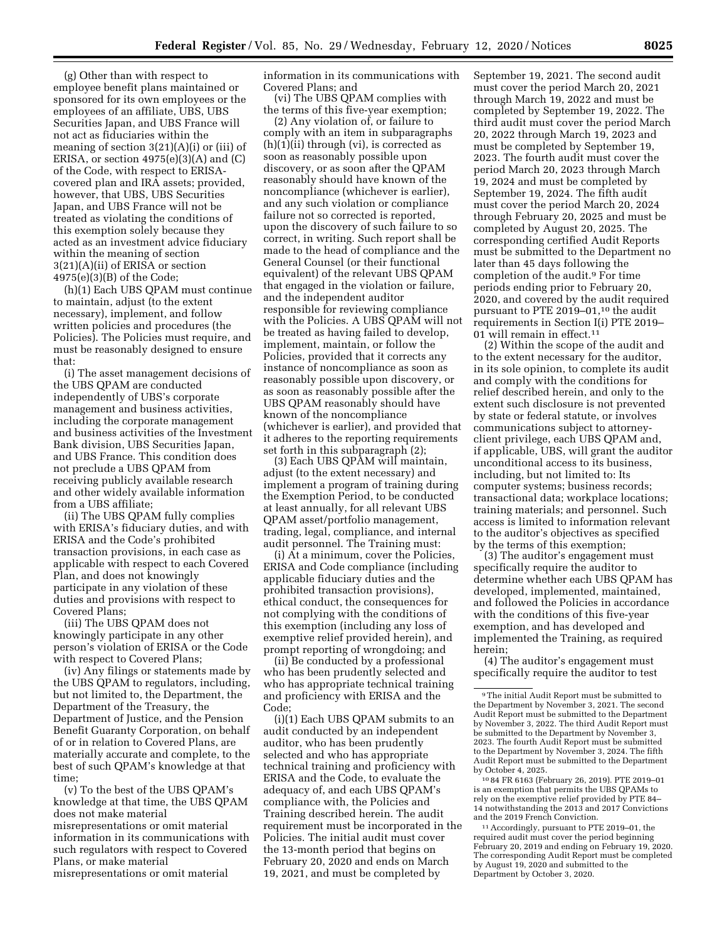(g) Other than with respect to employee benefit plans maintained or sponsored for its own employees or the employees of an affiliate, UBS, UBS Securities Japan, and UBS France will not act as fiduciaries within the meaning of section 3(21)(A)(i) or (iii) of ERISA, or section  $4975(e)(3)(A)$  and  $(C)$ of the Code, with respect to ERISAcovered plan and IRA assets; provided, however, that UBS, UBS Securities Japan, and UBS France will not be treated as violating the conditions of this exemption solely because they acted as an investment advice fiduciary within the meaning of section 3(21)(A)(ii) of ERISA or section 4975(e)(3)(B) of the Code;

(h)(1) Each UBS QPAM must continue to maintain, adjust (to the extent necessary), implement, and follow written policies and procedures (the Policies). The Policies must require, and must be reasonably designed to ensure that:

(i) The asset management decisions of the UBS QPAM are conducted independently of UBS's corporate management and business activities, including the corporate management and business activities of the Investment Bank division, UBS Securities Japan, and UBS France. This condition does not preclude a UBS QPAM from receiving publicly available research and other widely available information from a UBS affiliate;

(ii) The UBS QPAM fully complies with ERISA's fiduciary duties, and with ERISA and the Code's prohibited transaction provisions, in each case as applicable with respect to each Covered Plan, and does not knowingly participate in any violation of these duties and provisions with respect to Covered Plans;

(iii) The UBS QPAM does not knowingly participate in any other person's violation of ERISA or the Code with respect to Covered Plans;

(iv) Any filings or statements made by the UBS QPAM to regulators, including, but not limited to, the Department, the Department of the Treasury, the Department of Justice, and the Pension Benefit Guaranty Corporation, on behalf of or in relation to Covered Plans, are materially accurate and complete, to the best of such QPAM's knowledge at that time;

(v) To the best of the UBS QPAM's knowledge at that time, the UBS QPAM does not make material misrepresentations or omit material information in its communications with such regulators with respect to Covered Plans, or make material misrepresentations or omit material

information in its communications with Covered Plans; and

(vi) The UBS QPAM complies with the terms of this five-year exemption;

(2) Any violation of, or failure to comply with an item in subparagraphs  $(h)(1)(ii)$  through  $(vi)$ , is corrected as soon as reasonably possible upon discovery, or as soon after the QPAM reasonably should have known of the noncompliance (whichever is earlier), and any such violation or compliance failure not so corrected is reported, upon the discovery of such failure to so correct, in writing. Such report shall be made to the head of compliance and the General Counsel (or their functional equivalent) of the relevant UBS QPAM that engaged in the violation or failure, and the independent auditor responsible for reviewing compliance with the Policies. A UBS QPAM will not be treated as having failed to develop, implement, maintain, or follow the Policies, provided that it corrects any instance of noncompliance as soon as reasonably possible upon discovery, or as soon as reasonably possible after the UBS QPAM reasonably should have known of the noncompliance (whichever is earlier), and provided that it adheres to the reporting requirements set forth in this subparagraph (2);

(3) Each UBS QPAM will maintain, adjust (to the extent necessary) and implement a program of training during the Exemption Period, to be conducted at least annually, for all relevant UBS QPAM asset/portfolio management, trading, legal, compliance, and internal audit personnel. The Training must:

(i) At a minimum, cover the Policies, ERISA and Code compliance (including applicable fiduciary duties and the prohibited transaction provisions), ethical conduct, the consequences for not complying with the conditions of this exemption (including any loss of exemptive relief provided herein), and prompt reporting of wrongdoing; and

(ii) Be conducted by a professional who has been prudently selected and who has appropriate technical training and proficiency with ERISA and the Code;

(i)(1) Each UBS QPAM submits to an audit conducted by an independent auditor, who has been prudently selected and who has appropriate technical training and proficiency with ERISA and the Code, to evaluate the adequacy of, and each UBS QPAM's compliance with, the Policies and Training described herein. The audit requirement must be incorporated in the Policies. The initial audit must cover the 13-month period that begins on February 20, 2020 and ends on March 19, 2021, and must be completed by

September 19, 2021. The second audit must cover the period March 20, 2021 through March 19, 2022 and must be completed by September 19, 2022. The third audit must cover the period March 20, 2022 through March 19, 2023 and must be completed by September 19, 2023. The fourth audit must cover the period March 20, 2023 through March 19, 2024 and must be completed by September 19, 2024. The fifth audit must cover the period March 20, 2024 through February 20, 2025 and must be completed by August 20, 2025. The corresponding certified Audit Reports must be submitted to the Department no later than 45 days following the completion of the audit.9 For time periods ending prior to February 20, 2020, and covered by the audit required pursuant to PTE 2019-01,<sup>10</sup> the audit requirements in Section I(i) PTE 2019– 01 will remain in effect.11

(2) Within the scope of the audit and to the extent necessary for the auditor, in its sole opinion, to complete its audit and comply with the conditions for relief described herein, and only to the extent such disclosure is not prevented by state or federal statute, or involves communications subject to attorneyclient privilege, each UBS QPAM and, if applicable, UBS, will grant the auditor unconditional access to its business, including, but not limited to: Its computer systems; business records; transactional data; workplace locations; training materials; and personnel. Such access is limited to information relevant to the auditor's objectives as specified by the terms of this exemption;

(3) The auditor's engagement must specifically require the auditor to determine whether each UBS QPAM has developed, implemented, maintained, and followed the Policies in accordance with the conditions of this five-year exemption, and has developed and implemented the Training, as required herein;

(4) The auditor's engagement must specifically require the auditor to test

10 84 FR 6163 (February 26, 2019). PTE 2019–01 is an exemption that permits the UBS QPAMs to rely on the exemptive relief provided by PTE 84– 14 notwithstanding the 2013 and 2017 Convictions

<sup>11</sup> Accordingly, pursuant to PTE 2019–01, the required audit must cover the period beginning February 20, 2019 and ending on February 19, 2020. The corresponding Audit Report must be completed by August 19, 2020 and submitted to the Department by October 3, 2020.

<sup>9</sup>The initial Audit Report must be submitted to the Department by November 3, 2021. The second Audit Report must be submitted to the Department by November 3, 2022. The third Audit Report must be submitted to the Department by November 3, 2023. The fourth Audit Report must be submitted to the Department by November 3, 2024. The fifth Audit Report must be submitted to the Department by October 4, 2025.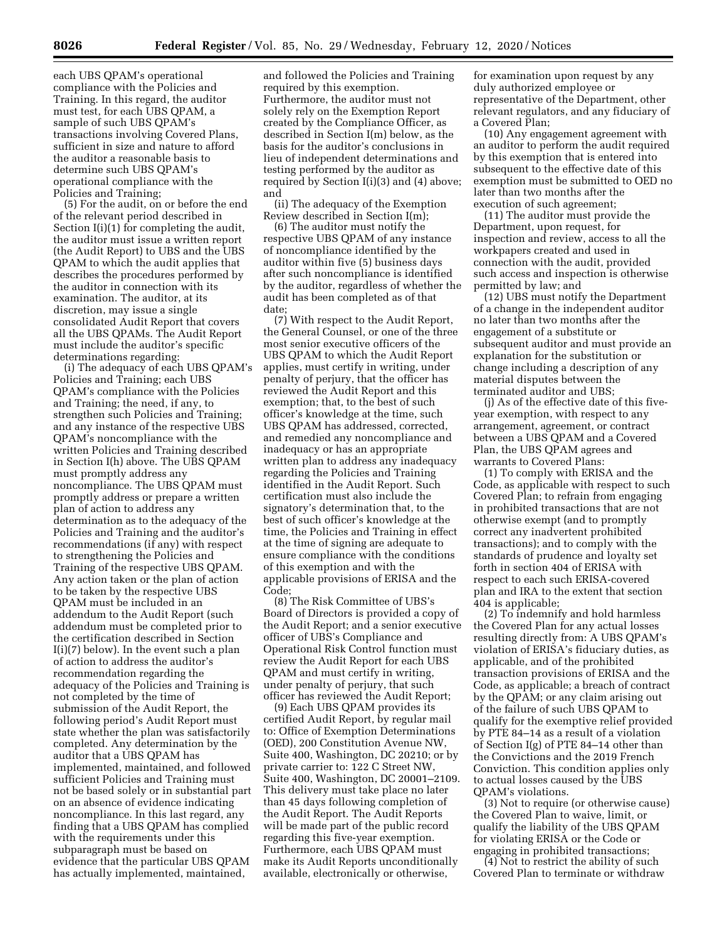each UBS QPAM's operational compliance with the Policies and Training. In this regard, the auditor must test, for each UBS QPAM, a sample of such UBS QPAM's transactions involving Covered Plans, sufficient in size and nature to afford the auditor a reasonable basis to determine such UBS QPAM's operational compliance with the Policies and Training;

(5) For the audit, on or before the end of the relevant period described in Section I(i)(1) for completing the audit, the auditor must issue a written report (the Audit Report) to UBS and the UBS QPAM to which the audit applies that describes the procedures performed by the auditor in connection with its examination. The auditor, at its discretion, may issue a single consolidated Audit Report that covers all the UBS QPAMs. The Audit Report must include the auditor's specific determinations regarding:

(i) The adequacy of each UBS QPAM's Policies and Training; each UBS QPAM's compliance with the Policies and Training; the need, if any, to strengthen such Policies and Training; and any instance of the respective UBS QPAM's noncompliance with the written Policies and Training described in Section I(h) above. The UBS QPAM must promptly address any noncompliance. The UBS QPAM must promptly address or prepare a written plan of action to address any determination as to the adequacy of the Policies and Training and the auditor's recommendations (if any) with respect to strengthening the Policies and Training of the respective UBS QPAM. Any action taken or the plan of action to be taken by the respective UBS QPAM must be included in an addendum to the Audit Report (such addendum must be completed prior to the certification described in Section I(i)(7) below). In the event such a plan of action to address the auditor's recommendation regarding the adequacy of the Policies and Training is not completed by the time of submission of the Audit Report, the following period's Audit Report must state whether the plan was satisfactorily completed. Any determination by the auditor that a UBS QPAM has implemented, maintained, and followed sufficient Policies and Training must not be based solely or in substantial part on an absence of evidence indicating noncompliance. In this last regard, any finding that a UBS QPAM has complied with the requirements under this subparagraph must be based on evidence that the particular UBS QPAM has actually implemented, maintained,

and followed the Policies and Training required by this exemption. Furthermore, the auditor must not solely rely on the Exemption Report created by the Compliance Officer, as described in Section I(m) below, as the basis for the auditor's conclusions in lieu of independent determinations and testing performed by the auditor as required by Section I(i)(3) and (4) above; and

(ii) The adequacy of the Exemption Review described in Section I(m);

(6) The auditor must notify the respective UBS QPAM of any instance of noncompliance identified by the auditor within five (5) business days after such noncompliance is identified by the auditor, regardless of whether the audit has been completed as of that date;

(7) With respect to the Audit Report, the General Counsel, or one of the three most senior executive officers of the UBS QPAM to which the Audit Report applies, must certify in writing, under penalty of perjury, that the officer has reviewed the Audit Report and this exemption; that, to the best of such officer's knowledge at the time, such UBS QPAM has addressed, corrected, and remedied any noncompliance and inadequacy or has an appropriate written plan to address any inadequacy regarding the Policies and Training identified in the Audit Report. Such certification must also include the signatory's determination that, to the best of such officer's knowledge at the time, the Policies and Training in effect at the time of signing are adequate to ensure compliance with the conditions of this exemption and with the applicable provisions of ERISA and the Code;

(8) The Risk Committee of UBS's Board of Directors is provided a copy of the Audit Report; and a senior executive officer of UBS's Compliance and Operational Risk Control function must review the Audit Report for each UBS QPAM and must certify in writing, under penalty of perjury, that such officer has reviewed the Audit Report;

(9) Each UBS QPAM provides its certified Audit Report, by regular mail to: Office of Exemption Determinations (OED), 200 Constitution Avenue NW, Suite 400, Washington, DC 20210; or by private carrier to: 122 C Street NW, Suite 400, Washington, DC 20001–2109. This delivery must take place no later than 45 days following completion of the Audit Report. The Audit Reports will be made part of the public record regarding this five-year exemption. Furthermore, each UBS QPAM must make its Audit Reports unconditionally available, electronically or otherwise,

for examination upon request by any duly authorized employee or representative of the Department, other relevant regulators, and any fiduciary of a Covered Plan;

(10) Any engagement agreement with an auditor to perform the audit required by this exemption that is entered into subsequent to the effective date of this exemption must be submitted to OED no later than two months after the execution of such agreement;

(11) The auditor must provide the Department, upon request, for inspection and review, access to all the workpapers created and used in connection with the audit, provided such access and inspection is otherwise permitted by law; and

(12) UBS must notify the Department of a change in the independent auditor no later than two months after the engagement of a substitute or subsequent auditor and must provide an explanation for the substitution or change including a description of any material disputes between the terminated auditor and UBS;

(j) As of the effective date of this fiveyear exemption, with respect to any arrangement, agreement, or contract between a UBS QPAM and a Covered Plan, the UBS QPAM agrees and warrants to Covered Plans:

(1) To comply with ERISA and the Code, as applicable with respect to such Covered Plan; to refrain from engaging in prohibited transactions that are not otherwise exempt (and to promptly correct any inadvertent prohibited transactions); and to comply with the standards of prudence and loyalty set forth in section 404 of ERISA with respect to each such ERISA-covered plan and IRA to the extent that section 404 is applicable;

(2) To indemnify and hold harmless the Covered Plan for any actual losses resulting directly from: A UBS QPAM's violation of ERISA's fiduciary duties, as applicable, and of the prohibited transaction provisions of ERISA and the Code, as applicable; a breach of contract by the QPAM; or any claim arising out of the failure of such UBS QPAM to qualify for the exemptive relief provided by PTE 84–14 as a result of a violation of Section I(g) of PTE 84–14 other than the Convictions and the 2019 French Conviction. This condition applies only to actual losses caused by the UBS QPAM's violations.

(3) Not to require (or otherwise cause) the Covered Plan to waive, limit, or qualify the liability of the UBS QPAM for violating ERISA or the Code or engaging in prohibited transactions;

(4) Not to restrict the ability of such Covered Plan to terminate or withdraw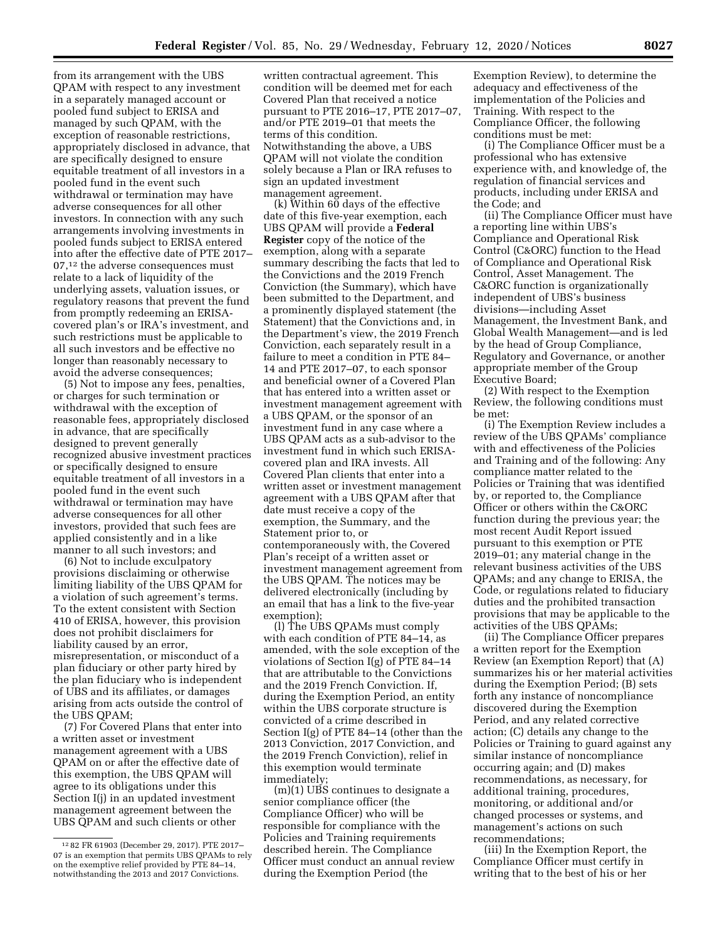from its arrangement with the UBS QPAM with respect to any investment in a separately managed account or pooled fund subject to ERISA and managed by such QPAM, with the exception of reasonable restrictions, appropriately disclosed in advance, that are specifically designed to ensure equitable treatment of all investors in a pooled fund in the event such withdrawal or termination may have adverse consequences for all other investors. In connection with any such arrangements involving investments in pooled funds subject to ERISA entered into after the effective date of PTE 2017– 07,12 the adverse consequences must relate to a lack of liquidity of the underlying assets, valuation issues, or regulatory reasons that prevent the fund from promptly redeeming an ERISAcovered plan's or IRA's investment, and such restrictions must be applicable to all such investors and be effective no longer than reasonably necessary to avoid the adverse consequences;

(5) Not to impose any fees, penalties, or charges for such termination or withdrawal with the exception of reasonable fees, appropriately disclosed in advance, that are specifically designed to prevent generally recognized abusive investment practices or specifically designed to ensure equitable treatment of all investors in a pooled fund in the event such withdrawal or termination may have adverse consequences for all other investors, provided that such fees are applied consistently and in a like manner to all such investors; and

(6) Not to include exculpatory provisions disclaiming or otherwise limiting liability of the UBS QPAM for a violation of such agreement's terms. To the extent consistent with Section 410 of ERISA, however, this provision does not prohibit disclaimers for liability caused by an error, misrepresentation, or misconduct of a plan fiduciary or other party hired by the plan fiduciary who is independent of UBS and its affiliates, or damages arising from acts outside the control of the UBS QPAM;

(7) For Covered Plans that enter into a written asset or investment management agreement with a UBS QPAM on or after the effective date of this exemption, the UBS QPAM will agree to its obligations under this Section I(j) in an updated investment management agreement between the UBS QPAM and such clients or other

written contractual agreement. This condition will be deemed met for each Covered Plan that received a notice pursuant to PTE 2016–17, PTE 2017–07, and/or PTE 2019–01 that meets the terms of this condition. Notwithstanding the above, a UBS QPAM will not violate the condition solely because a Plan or IRA refuses to sign an updated investment management agreement.

(k) Within 60 days of the effective date of this five-year exemption, each UBS QPAM will provide a **Federal Register** copy of the notice of the exemption, along with a separate summary describing the facts that led to the Convictions and the 2019 French Conviction (the Summary), which have been submitted to the Department, and a prominently displayed statement (the Statement) that the Convictions and, in the Department's view, the 2019 French Conviction, each separately result in a failure to meet a condition in PTE 84– 14 and PTE 2017–07, to each sponsor and beneficial owner of a Covered Plan that has entered into a written asset or investment management agreement with a UBS QPAM, or the sponsor of an investment fund in any case where a UBS QPAM acts as a sub-advisor to the investment fund in which such ERISAcovered plan and IRA invests. All Covered Plan clients that enter into a written asset or investment management agreement with a UBS QPAM after that date must receive a copy of the exemption, the Summary, and the Statement prior to, or contemporaneously with, the Covered Plan's receipt of a written asset or investment management agreement from the UBS QPAM. The notices may be delivered electronically (including by an email that has a link to the five-year exemption);

(l) The UBS QPAMs must comply with each condition of PTE 84–14, as amended, with the sole exception of the violations of Section I(g) of PTE 84–14 that are attributable to the Convictions and the 2019 French Conviction. If, during the Exemption Period, an entity within the UBS corporate structure is convicted of a crime described in Section I(g) of PTE 84–14 (other than the 2013 Conviction, 2017 Conviction, and the 2019 French Conviction), relief in this exemption would terminate immediately;

(m)(1) UBS continues to designate a senior compliance officer (the Compliance Officer) who will be responsible for compliance with the Policies and Training requirements described herein. The Compliance Officer must conduct an annual review during the Exemption Period (the

Exemption Review), to determine the adequacy and effectiveness of the implementation of the Policies and Training. With respect to the Compliance Officer, the following conditions must be met:

(i) The Compliance Officer must be a professional who has extensive experience with, and knowledge of, the regulation of financial services and products, including under ERISA and the Code; and

(ii) The Compliance Officer must have a reporting line within UBS's Compliance and Operational Risk Control (C&ORC) function to the Head of Compliance and Operational Risk Control, Asset Management. The C&ORC function is organizationally independent of UBS's business divisions—including Asset Management, the Investment Bank, and Global Wealth Management—and is led by the head of Group Compliance, Regulatory and Governance, or another appropriate member of the Group Executive Board;

(2) With respect to the Exemption Review, the following conditions must be met:

(i) The Exemption Review includes a review of the UBS QPAMs' compliance with and effectiveness of the Policies and Training and of the following: Any compliance matter related to the Policies or Training that was identified by, or reported to, the Compliance Officer or others within the C&ORC function during the previous year; the most recent Audit Report issued pursuant to this exemption or PTE 2019–01; any material change in the relevant business activities of the UBS QPAMs; and any change to ERISA, the Code, or regulations related to fiduciary duties and the prohibited transaction provisions that may be applicable to the activities of the UBS QPAMs;

(ii) The Compliance Officer prepares a written report for the Exemption Review (an Exemption Report) that (A) summarizes his or her material activities during the Exemption Period; (B) sets forth any instance of noncompliance discovered during the Exemption Period, and any related corrective action; (C) details any change to the Policies or Training to guard against any similar instance of noncompliance occurring again; and (D) makes recommendations, as necessary, for additional training, procedures, monitoring, or additional and/or changed processes or systems, and management's actions on such recommendations;

(iii) In the Exemption Report, the Compliance Officer must certify in writing that to the best of his or her

<sup>12</sup> 82 FR 61903 (December 29, 2017). PTE 2017– 07 is an exemption that permits UBS QPAMs to rely on the exemptive relief provided by PTE 84–14, notwithstanding the 2013 and 2017 Convictions.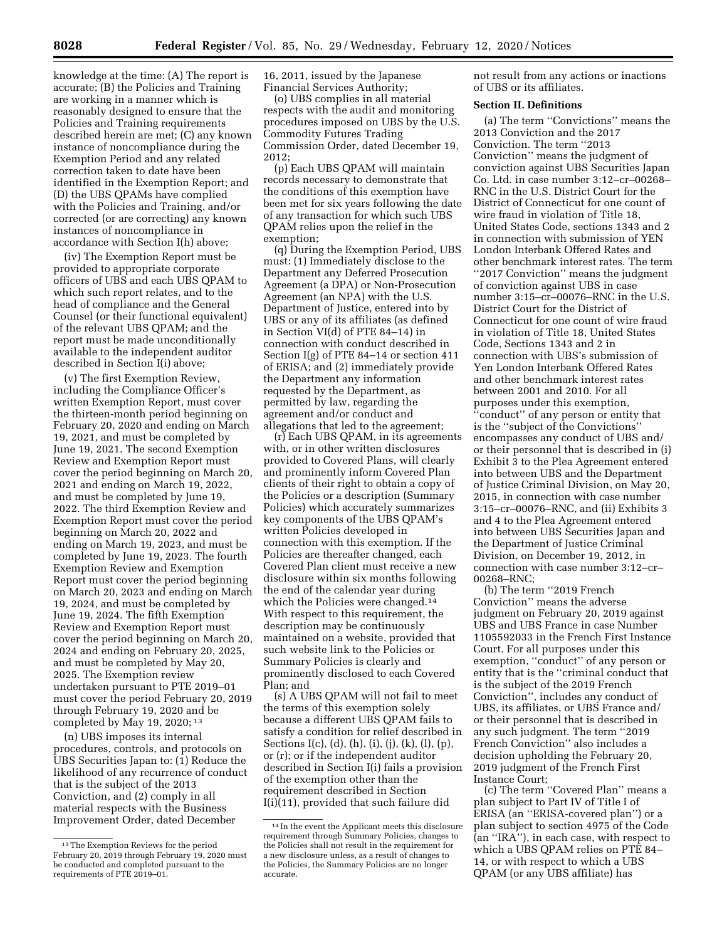knowledge at the time: (A) The report is accurate; (B) the Policies and Training are working in a manner which is reasonably designed to ensure that the Policies and Training requirements described herein are met; (C) any known instance of noncompliance during the Exemption Period and any related correction taken to date have been identified in the Exemption Report; and (D) the UBS QPAMs have complied with the Policies and Training, and/or corrected (or are correcting) any known instances of noncompliance in accordance with Section I(h) above;

(iv) The Exemption Report must be provided to appropriate corporate officers of UBS and each UBS QPAM to which such report relates, and to the head of compliance and the General Counsel (or their functional equivalent) of the relevant UBS QPAM; and the report must be made unconditionally available to the independent auditor described in Section I(i) above;

(v) The first Exemption Review, including the Compliance Officer's written Exemption Report, must cover the thirteen-month period beginning on February 20, 2020 and ending on March 19, 2021, and must be completed by June 19, 2021. The second Exemption Review and Exemption Report must cover the period beginning on March 20, 2021 and ending on March 19, 2022, and must be completed by June 19, 2022. The third Exemption Review and Exemption Report must cover the period beginning on March 20, 2022 and ending on March 19, 2023, and must be completed by June 19, 2023. The fourth Exemption Review and Exemption Report must cover the period beginning on March 20, 2023 and ending on March 19, 2024, and must be completed by June 19, 2024. The fifth Exemption Review and Exemption Report must cover the period beginning on March 20, 2024 and ending on February 20, 2025, and must be completed by May 20, 2025. The Exemption review undertaken pursuant to PTE 2019–01 must cover the period February 20, 2019 through February 19, 2020 and be completed by May 19, 2020; 13

(n) UBS imposes its internal procedures, controls, and protocols on UBS Securities Japan to: (1) Reduce the likelihood of any recurrence of conduct that is the subject of the 2013 Conviction, and (2) comply in all material respects with the Business Improvement Order, dated December

16, 2011, issued by the Japanese Financial Services Authority;

(o) UBS complies in all material respects with the audit and monitoring procedures imposed on UBS by the U.S. Commodity Futures Trading Commission Order, dated December 19, 2012;

(p) Each UBS QPAM will maintain records necessary to demonstrate that the conditions of this exemption have been met for six years following the date of any transaction for which such UBS QPAM relies upon the relief in the exemption;

(q) During the Exemption Period, UBS must: (1) Immediately disclose to the Department any Deferred Prosecution Agreement (a DPA) or Non-Prosecution Agreement (an NPA) with the U.S. Department of Justice, entered into by UBS or any of its affiliates (as defined in Section VI(d) of PTE 84–14) in connection with conduct described in Section I(g) of PTE 84–14 or section 411 of ERISA; and (2) immediately provide the Department any information requested by the Department, as permitted by law, regarding the agreement and/or conduct and allegations that led to the agreement;

(r) Each UBS QPAM, in its agreements with, or in other written disclosures provided to Covered Plans, will clearly and prominently inform Covered Plan clients of their right to obtain a copy of the Policies or a description (Summary Policies) which accurately summarizes key components of the UBS QPAM's written Policies developed in connection with this exemption. If the Policies are thereafter changed, each Covered Plan client must receive a new disclosure within six months following the end of the calendar year during which the Policies were changed.<sup>14</sup> With respect to this requirement, the description may be continuously maintained on a website, provided that such website link to the Policies or Summary Policies is clearly and prominently disclosed to each Covered Plan; and

(s) A UBS QPAM will not fail to meet the terms of this exemption solely because a different UBS QPAM fails to satisfy a condition for relief described in Sections I(c), (d), (h), (i), (j), (k), (l), (p), or (r); or if the independent auditor described in Section I(i) fails a provision of the exemption other than the requirement described in Section I(i)(11), provided that such failure did

not result from any actions or inactions of UBS or its affiliates.

## **Section II. Definitions**

(a) The term ''Convictions'' means the 2013 Conviction and the 2017 Conviction. The term ''2013 Conviction'' means the judgment of conviction against UBS Securities Japan Co. Ltd. in case number 3:12–cr–00268– RNC in the U.S. District Court for the District of Connecticut for one count of wire fraud in violation of Title 18, United States Code, sections 1343 and 2 in connection with submission of YEN London Interbank Offered Rates and other benchmark interest rates. The term ''2017 Conviction'' means the judgment of conviction against UBS in case number 3:15–cr–00076–RNC in the U.S. District Court for the District of Connecticut for one count of wire fraud in violation of Title 18, United States Code, Sections 1343 and 2 in connection with UBS's submission of Yen London Interbank Offered Rates and other benchmark interest rates between 2001 and 2010. For all purposes under this exemption, ''conduct'' of any person or entity that is the ''subject of the Convictions'' encompasses any conduct of UBS and/ or their personnel that is described in (i) Exhibit 3 to the Plea Agreement entered into between UBS and the Department of Justice Criminal Division, on May 20, 2015, in connection with case number 3:15–cr–00076–RNC, and (ii) Exhibits 3 and 4 to the Plea Agreement entered into between UBS Securities Japan and the Department of Justice Criminal Division, on December 19, 2012, in connection with case number 3:12–cr– 00268–RNC;

(b) The term ''2019 French Conviction'' means the adverse judgment on February 20, 2019 against UBS and UBS France in case Number 1105592033 in the French First Instance Court. For all purposes under this exemption, ''conduct'' of any person or entity that is the ''criminal conduct that is the subject of the 2019 French Conviction'', includes any conduct of UBS, its affiliates, or UBS France and/ or their personnel that is described in any such judgment. The term ''2019 French Conviction'' also includes a decision upholding the February 20, 2019 judgment of the French First Instance Court;

(c) The term ''Covered Plan'' means a plan subject to Part IV of Title I of ERISA (an ''ERISA-covered plan'') or a plan subject to section 4975 of the Code (an ''IRA''), in each case, with respect to which a UBS QPAM relies on PTE 84– 14, or with respect to which a UBS QPAM (or any UBS affiliate) has

<sup>13</sup>The Exemption Reviews for the period February 20, 2019 through February 19, 2020 must be conducted and completed pursuant to the requirements of PTE 2019-01.

<sup>14</sup> In the event the Applicant meets this disclosure requirement through Summary Policies, changes to the Policies shall not result in the requirement for a new disclosure unless, as a result of changes to the Policies, the Summary Policies are no longer accurate.